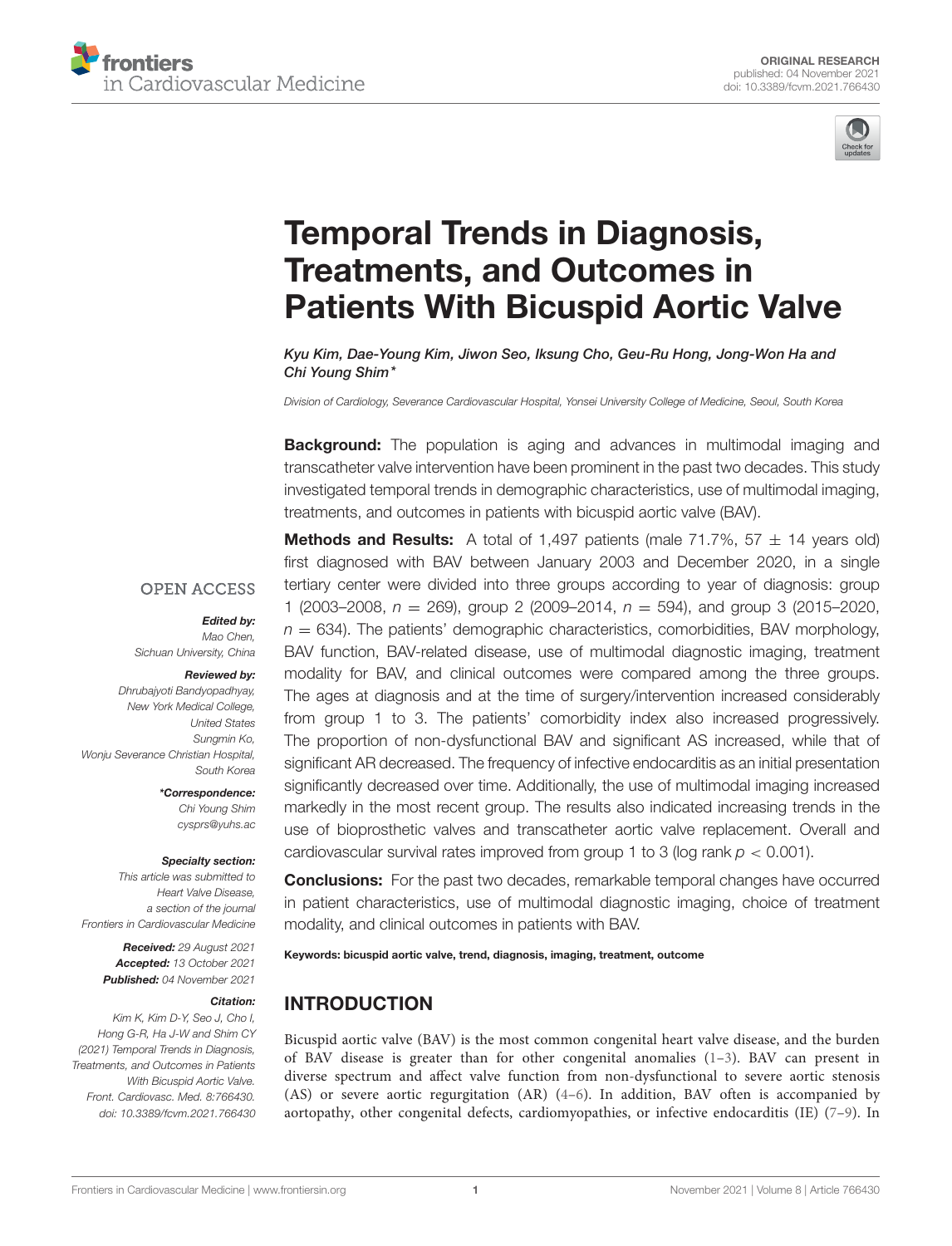



# Temporal Trends in Diagnosis, Treatments, and Outcomes in [Patients With Bicuspid Aortic Valve](https://www.frontiersin.org/articles/10.3389/fcvm.2021.766430/full)

Kyu Kim, Dae-Young Kim, Jiwon Seo, Iksung Cho, Geu-Ru Hong, Jong-Won Ha and Chi Young Shim\*

*Division of Cardiology, Severance Cardiovascular Hospital, Yonsei University College of Medicine, Seoul, South Korea*

**Background:** The population is aging and advances in multimodal imaging and transcatheter valve intervention have been prominent in the past two decades. This study investigated temporal trends in demographic characteristics, use of multimodal imaging, treatments, and outcomes in patients with bicuspid aortic valve (BAV).

**OPEN ACCESS** 

# Edited by:

*Mao Chen, Sichuan University, China*

#### Reviewed by:

*Dhrubajyoti Bandyopadhyay, New York Medical College, United States Sungmin Ko, Wonju Severance Christian Hospital, South Korea*

> \*Correspondence: *Chi Young Shim [cysprs@yuhs.ac](mailto:cysprs@yuhs.ac)*

#### Specialty section:

*This article was submitted to Heart Valve Disease, a section of the journal Frontiers in Cardiovascular Medicine*

> Received: *29 August 2021* Accepted: *13 October 2021* Published: *04 November 2021*

#### Citation:

*Kim K, Kim D-Y, Seo J, Cho I, Hong G-R, Ha J-W and Shim CY (2021) Temporal Trends in Diagnosis, Treatments, and Outcomes in Patients With Bicuspid Aortic Valve. Front. Cardiovasc. Med. 8:766430. doi: [10.3389/fcvm.2021.766430](https://doi.org/10.3389/fcvm.2021.766430)*

**Methods and Results:** A total of 1,497 patients (male 71.7%,  $57 \pm 14$  years old) first diagnosed with BAV between January 2003 and December 2020, in a single tertiary center were divided into three groups according to year of diagnosis: group 1 (2003–2008, *n* = 269), group 2 (2009–2014, *n* = 594), and group 3 (2015–2020,  $n = 634$ ). The patients' demographic characteristics, comorbidities, BAV morphology, BAV function, BAV-related disease, use of multimodal diagnostic imaging, treatment modality for BAV, and clinical outcomes were compared among the three groups. The ages at diagnosis and at the time of surgery/intervention increased considerably from group 1 to 3. The patients' comorbidity index also increased progressively. The proportion of non-dysfunctional BAV and significant AS increased, while that of significant AR decreased. The frequency of infective endocarditis as an initial presentation significantly decreased over time. Additionally, the use of multimodal imaging increased markedly in the most recent group. The results also indicated increasing trends in the use of bioprosthetic valves and transcatheter aortic valve replacement. Overall and cardiovascular survival rates improved from group 1 to 3 (log rank *p* < 0.001).

**Conclusions:** For the past two decades, remarkable temporal changes have occurred in patient characteristics, use of multimodal diagnostic imaging, choice of treatment modality, and clinical outcomes in patients with BAV.

Keywords: bicuspid aortic valve, trend, diagnosis, imaging, treatment, outcome

## INTRODUCTION

Bicuspid aortic valve (BAV) is the most common congenital heart valve disease, and the burden of BAV disease is greater than for other congenital anomalies [\(1](#page-6-0)[–3\)](#page-6-1). BAV can present in diverse spectrum and affect valve function from non-dysfunctional to severe aortic stenosis (AS) or severe aortic regurgitation (AR) [\(4](#page-6-2)[–6\)](#page-6-3). In addition, BAV often is accompanied by aortopathy, other congenital defects, cardiomyopathies, or infective endocarditis (IE) [\(7–](#page-6-4)[9\)](#page-6-5). In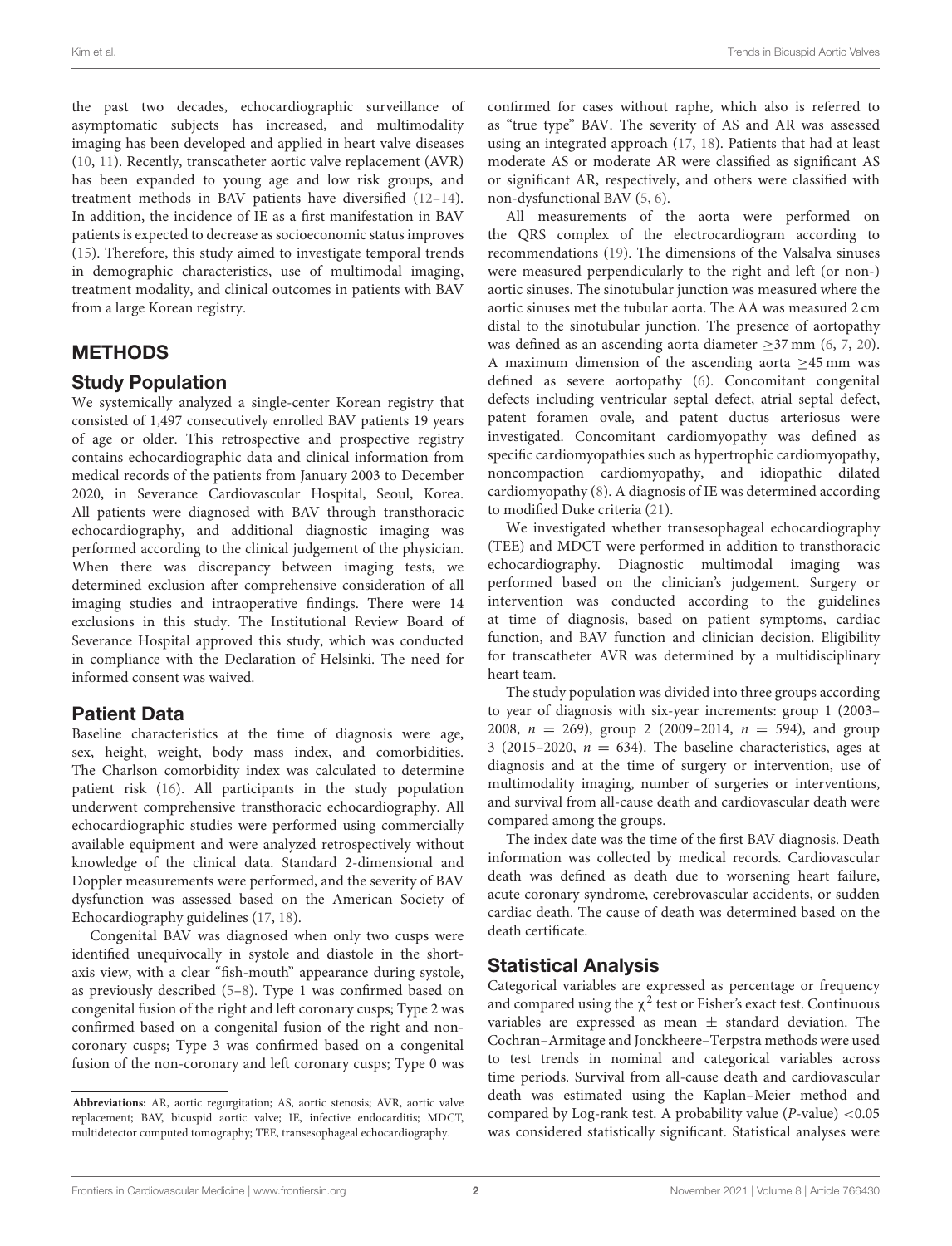the past two decades, echocardiographic surveillance of asymptomatic subjects has increased, and multimodality imaging has been developed and applied in heart valve diseases [\(10,](#page-6-6) [11\)](#page-6-7). Recently, transcatheter aortic valve replacement (AVR) has been expanded to young age and low risk groups, and treatment methods in BAV patients have diversified [\(12–](#page-6-8)[14\)](#page-6-9). In addition, the incidence of IE as a first manifestation in BAV patients is expected to decrease as socioeconomic status improves [\(15\)](#page-6-10). Therefore, this study aimed to investigate temporal trends in demographic characteristics, use of multimodal imaging, treatment modality, and clinical outcomes in patients with BAV from a large Korean registry.

# METHODS

# Study Population

We systemically analyzed a single-center Korean registry that consisted of 1,497 consecutively enrolled BAV patients 19 years of age or older. This retrospective and prospective registry contains echocardiographic data and clinical information from medical records of the patients from January 2003 to December 2020, in Severance Cardiovascular Hospital, Seoul, Korea. All patients were diagnosed with BAV through transthoracic echocardiography, and additional diagnostic imaging was performed according to the clinical judgement of the physician. When there was discrepancy between imaging tests, we determined exclusion after comprehensive consideration of all imaging studies and intraoperative findings. There were 14 exclusions in this study. The Institutional Review Board of Severance Hospital approved this study, which was conducted in compliance with the Declaration of Helsinki. The need for informed consent was waived.

# Patient Data

Baseline characteristics at the time of diagnosis were age, sex, height, weight, body mass index, and comorbidities. The Charlson comorbidity index was calculated to determine patient risk [\(16\)](#page-6-11). All participants in the study population underwent comprehensive transthoracic echocardiography. All echocardiographic studies were performed using commercially available equipment and were analyzed retrospectively without knowledge of the clinical data. Standard 2-dimensional and Doppler measurements were performed, and the severity of BAV dysfunction was assessed based on the American Society of Echocardiography guidelines [\(17,](#page-6-12) [18\)](#page-7-0).

Congenital BAV was diagnosed when only two cusps were identified unequivocally in systole and diastole in the shortaxis view, with a clear "fish-mouth" appearance during systole, as previously described [\(5](#page-6-13)[–8\)](#page-6-14). Type 1 was confirmed based on congenital fusion of the right and left coronary cusps; Type 2 was confirmed based on a congenital fusion of the right and noncoronary cusps; Type 3 was confirmed based on a congenital fusion of the non-coronary and left coronary cusps; Type 0 was confirmed for cases without raphe, which also is referred to as "true type" BAV. The severity of AS and AR was assessed using an integrated approach [\(17,](#page-6-12) [18\)](#page-7-0). Patients that had at least moderate AS or moderate AR were classified as significant AS or significant AR, respectively, and others were classified with non-dysfunctional BAV [\(5,](#page-6-13) [6\)](#page-6-3).

All measurements of the aorta were performed on the QRS complex of the electrocardiogram according to recommendations [\(19\)](#page-7-1). The dimensions of the Valsalva sinuses were measured perpendicularly to the right and left (or non-) aortic sinuses. The sinotubular junction was measured where the aortic sinuses met the tubular aorta. The AA was measured 2 cm distal to the sinotubular junction. The presence of aortopathy was defined as an ascending aorta diameter ≥37 mm [\(6,](#page-6-3) [7,](#page-6-4) [20\)](#page-7-2). A maximum dimension of the ascending aorta  $\geq$ 45 mm was defined as severe aortopathy [\(6\)](#page-6-3). Concomitant congenital defects including ventricular septal defect, atrial septal defect, patent foramen ovale, and patent ductus arteriosus were investigated. Concomitant cardiomyopathy was defined as specific cardiomyopathies such as hypertrophic cardiomyopathy, noncompaction cardiomyopathy, and idiopathic dilated cardiomyopathy [\(8\)](#page-6-14). A diagnosis of IE was determined according to modified Duke criteria [\(21\)](#page-7-3).

We investigated whether transesophageal echocardiography (TEE) and MDCT were performed in addition to transthoracic echocardiography. Diagnostic multimodal imaging was performed based on the clinician's judgement. Surgery or intervention was conducted according to the guidelines at time of diagnosis, based on patient symptoms, cardiac function, and BAV function and clinician decision. Eligibility for transcatheter AVR was determined by a multidisciplinary heart team.

The study population was divided into three groups according to year of diagnosis with six-year increments: group 1 (2003– 2008,  $n = 269$ , group 2 (2009–2014,  $n = 594$ ), and group 3 (2015–2020,  $n = 634$ ). The baseline characteristics, ages at diagnosis and at the time of surgery or intervention, use of multimodality imaging, number of surgeries or interventions, and survival from all-cause death and cardiovascular death were compared among the groups.

The index date was the time of the first BAV diagnosis. Death information was collected by medical records. Cardiovascular death was defined as death due to worsening heart failure, acute coronary syndrome, cerebrovascular accidents, or sudden cardiac death. The cause of death was determined based on the death certificate.

# Statistical Analysis

Categorical variables are expressed as percentage or frequency and compared using the  $\chi^2$  test or Fisher's exact test. Continuous variables are expressed as mean  $\pm$  standard deviation. The Cochran–Armitage and Jonckheere–Terpstra methods were used to test trends in nominal and categorical variables across time periods. Survival from all-cause death and cardiovascular death was estimated using the Kaplan–Meier method and compared by Log-rank test. A probability value ( $P$ -value) <0.05 was considered statistically significant. Statistical analyses were

**Abbreviations:** AR, aortic regurgitation; AS, aortic stenosis; AVR, aortic valve replacement; BAV, bicuspid aortic valve; IE, infective endocarditis; MDCT, multidetector computed tomography; TEE, transesophageal echocardiography.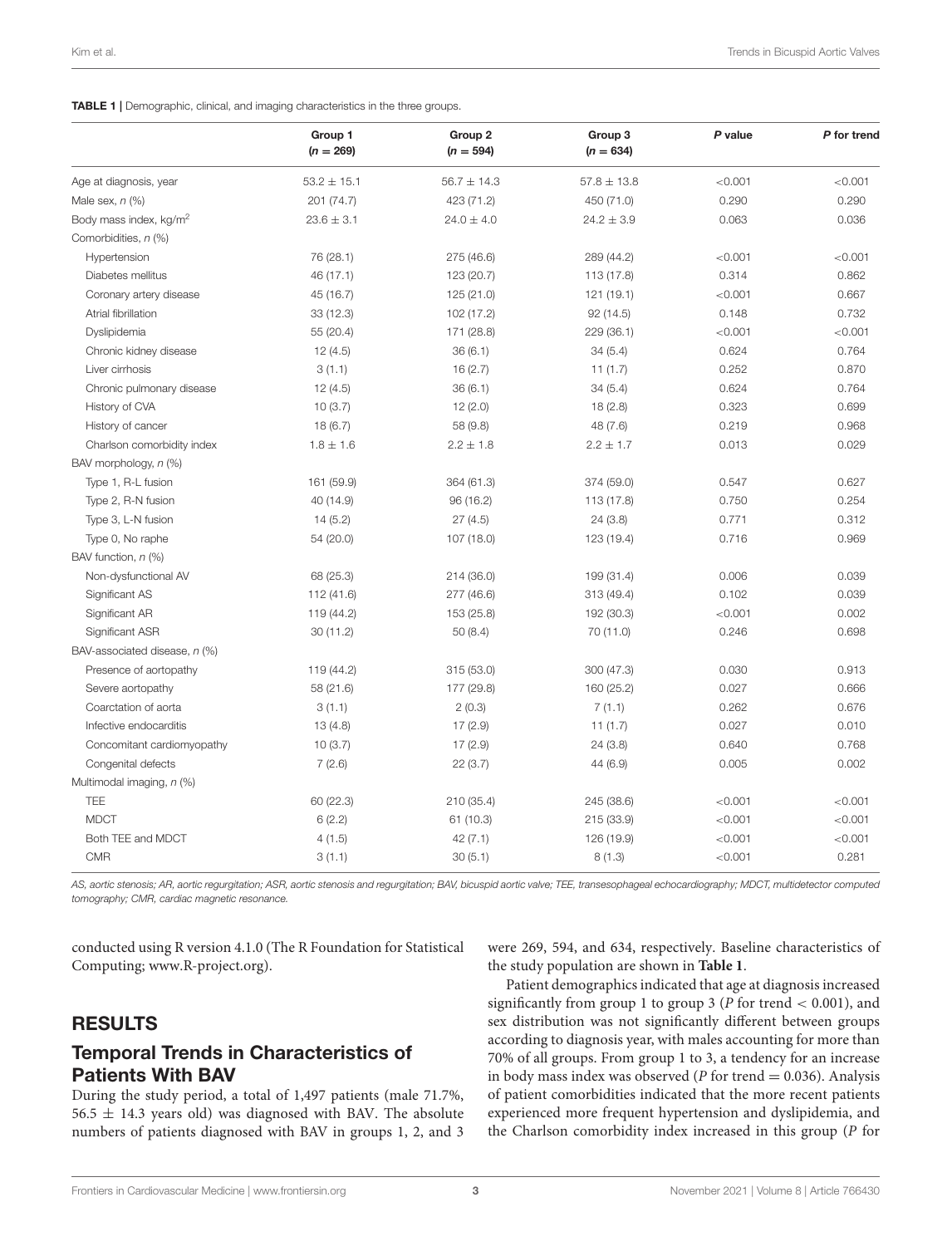#### <span id="page-2-0"></span>TABLE 1 | Demographic, clinical, and imaging characteristics in the three groups.

|                                    | Group 1<br>$(n = 269)$ | Group <sub>2</sub><br>$(n = 594)$ | Group 3<br>$(n = 634)$ | P value | P for trend |
|------------------------------------|------------------------|-----------------------------------|------------------------|---------|-------------|
| Age at diagnosis, year             | $53.2 \pm 15.1$        | $56.7 \pm 14.3$                   | $57.8 + 13.8$          | < 0.001 | < 0.001     |
| Male sex, $n$ (%)                  | 201 (74.7)             | 423 (71.2)                        | 450 (71.0)             | 0.290   | 0.290       |
| Body mass index, kg/m <sup>2</sup> | $23.6 \pm 3.1$         | $24.0 \pm 4.0$                    | $24.2 \pm 3.9$         | 0.063   | 0.036       |
| Comorbidities, n (%)               |                        |                                   |                        |         |             |
| Hypertension                       | 76 (28.1)              | 275 (46.6)                        | 289 (44.2)             | < 0.001 | < 0.001     |
| Diabetes mellitus                  | 46 (17.1)              | 123 (20.7)                        | 113 (17.8)             | 0.314   | 0.862       |
| Coronary artery disease            | 45 (16.7)              | 125 (21.0)                        | 121 (19.1)             | < 0.001 | 0.667       |
| Atrial fibrillation                | 33(12.3)               | 102 (17.2)                        | 92(14.5)               | 0.148   | 0.732       |
| Dyslipidemia                       | 55 (20.4)              | 171 (28.8)                        | 229 (36.1)             | < 0.001 | < 0.001     |
| Chronic kidney disease             | 12(4.5)                | 36(6.1)                           | 34(5.4)                | 0.624   | 0.764       |
| Liver cirrhosis                    | 3(1.1)                 | 16(2.7)                           | 11(1.7)                | 0.252   | 0.870       |
| Chronic pulmonary disease          | 12(4.5)                | 36(6.1)                           | 34(5.4)                | 0.624   | 0.764       |
| History of CVA                     | 10(3.7)                | 12(2.0)                           | 18(2.8)                | 0.323   | 0.699       |
| History of cancer                  | 18(6.7)                | 58 (9.8)                          | 48 (7.6)               | 0.219   | 0.968       |
| Charlson comorbidity index         | $1.8 \pm 1.6$          | $2.2 \pm 1.8$                     | $2.2 \pm 1.7$          | 0.013   | 0.029       |
| BAV morphology, n (%)              |                        |                                   |                        |         |             |
| Type 1, R-L fusion                 | 161 (59.9)             | 364 (61.3)                        | 374 (59.0)             | 0.547   | 0.627       |
| Type 2, R-N fusion                 | 40 (14.9)              | 96 (16.2)                         | 113 (17.8)             | 0.750   | 0.254       |
| Type 3, L-N fusion                 | 14(5.2)                | 27(4.5)                           | 24(3.8)                | 0.771   | 0.312       |
| Type 0, No raphe                   | 54 (20.0)              | 107 (18.0)                        | 123 (19.4)             | 0.716   | 0.969       |
| BAV function, n (%)                |                        |                                   |                        |         |             |
| Non-dysfunctional AV               | 68 (25.3)              | 214 (36.0)                        | 199 (31.4)             | 0.006   | 0.039       |
| Significant AS                     | 112 (41.6)             | 277 (46.6)                        | 313 (49.4)             | 0.102   | 0.039       |
| Significant AR                     | 119 (44.2)             | 153 (25.8)                        | 192 (30.3)             | < 0.001 | 0.002       |
| Significant ASR                    | 30(11.2)               | 50(8.4)                           | 70 (11.0)              | 0.246   | 0.698       |
| BAV-associated disease, n (%)      |                        |                                   |                        |         |             |
| Presence of aortopathy             | 119 (44.2)             | 315 (53.0)                        | 300 (47.3)             | 0.030   | 0.913       |
| Severe aortopathy                  | 58 (21.6)              | 177 (29.8)                        | 160 (25.2)             | 0.027   | 0.666       |
| Coarctation of aorta               | 3(1.1)                 | 2(0.3)                            | 7(1.1)                 | 0.262   | 0.676       |
| Infective endocarditis             | 13(4.8)                | 17(2.9)                           | 11(1.7)                | 0.027   | 0.010       |
| Concomitant cardiomyopathy         | 10(3.7)                | 17(2.9)                           | 24(3.8)                | 0.640   | 0.768       |
| Congenital defects                 | 7(2.6)                 | 22(3.7)                           | 44 (6.9)               | 0.005   | 0.002       |
| Multimodal imaging, n (%)          |                        |                                   |                        |         |             |
| TEE                                | 60 (22.3)              | 210 (35.4)                        | 245 (38.6)             | < 0.001 | < 0.001     |
| <b>MDCT</b>                        | 6(2.2)                 | 61(10.3)                          | 215 (33.9)             | < 0.001 | < 0.001     |
| Both TEE and MDCT                  | 4(1.5)                 | 42(7.1)                           | 126 (19.9)             | < 0.001 | < 0.001     |
| <b>CMR</b>                         | 3(1.1)                 | 30(5.1)                           | 8(1.3)                 | < 0.001 | 0.281       |

*AS, aortic stenosis; AR, aortic regurgitation; ASR, aortic stenosis and regurgitation; BAV, bicuspid aortic valve; TEE, transesophageal echocardiography; MDCT, multidetector computed tomography; CMR, cardiac magnetic resonance.*

conducted using R version 4.1.0 (The R Foundation for Statistical Computing; [www.R-project.org\)](http://www.R-project.org).

were 269, 594, and 634, respectively. Baseline characteristics of the study population are shown in **[Table 1](#page-2-0)**.

# RESULTS

# Temporal Trends in Characteristics of Patients With BAV

During the study period, a total of 1,497 patients (male 71.7%,  $56.5 \pm 14.3$  years old) was diagnosed with BAV. The absolute numbers of patients diagnosed with BAV in groups 1, 2, and 3

Patient demographics indicated that age at diagnosis increased significantly from group 1 to group 3 (P for trend < 0.001), and sex distribution was not significantly different between groups according to diagnosis year, with males accounting for more than 70% of all groups. From group 1 to 3, a tendency for an increase in body mass index was observed ( $P$  for trend  $= 0.036$ ). Analysis of patient comorbidities indicated that the more recent patients experienced more frequent hypertension and dyslipidemia, and the Charlson comorbidity index increased in this group (P for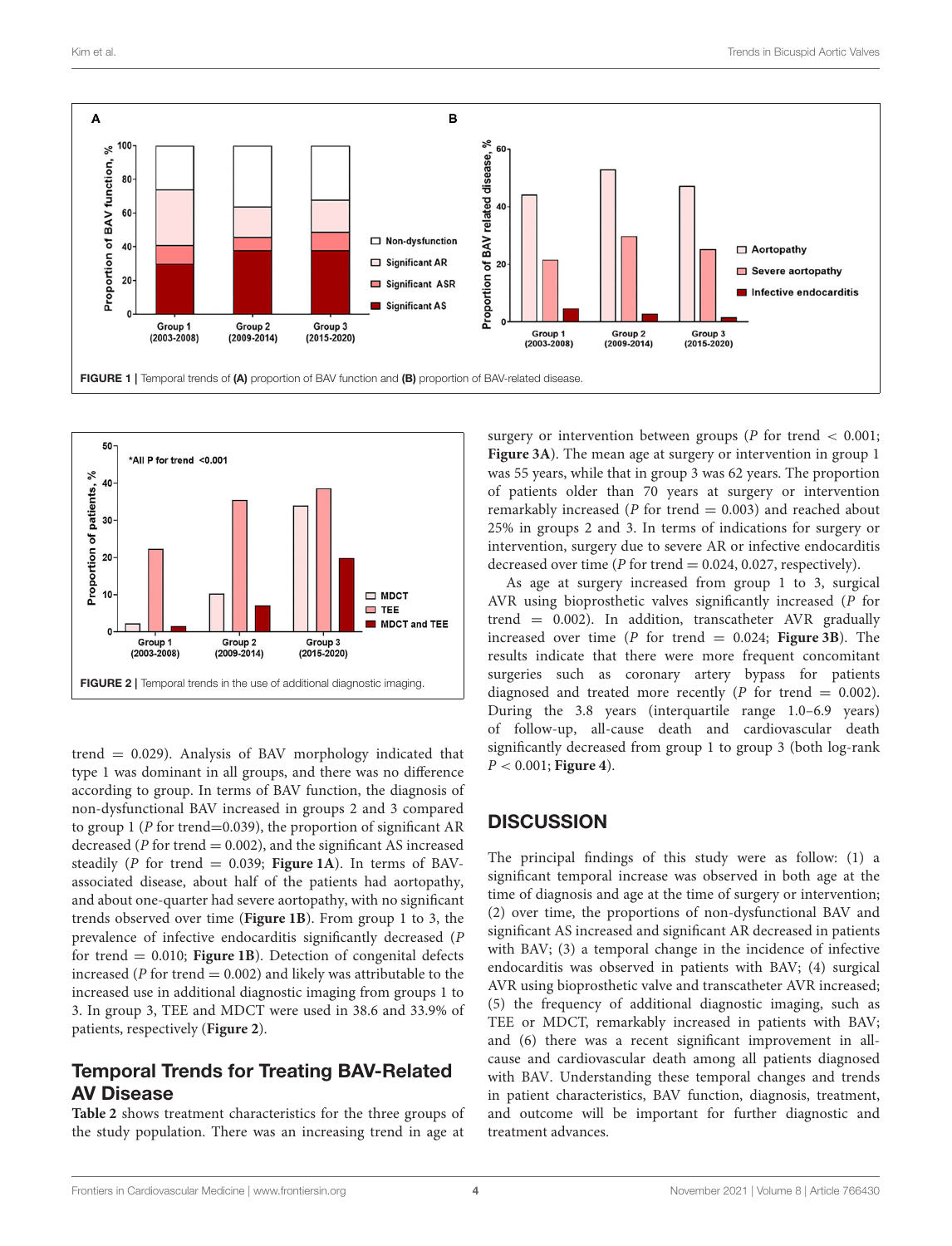

<span id="page-3-0"></span>

<span id="page-3-1"></span>trend  $= 0.029$ ). Analysis of BAV morphology indicated that type 1 was dominant in all groups, and there was no difference according to group. In terms of BAV function, the diagnosis of non-dysfunctional BAV increased in groups 2 and 3 compared to group 1 (P for trend=0.039), the proportion of significant AR decreased ( $P$  for trend  $= 0.002$ ), and the significant AS increased steadily ( $P$  for trend = 0.039; **[Figure 1A](#page-3-0)**). In terms of BAVassociated disease, about half of the patients had aortopathy, and about one-quarter had severe aortopathy, with no significant trends observed over time (**[Figure 1B](#page-3-0)**). From group 1 to 3, the prevalence of infective endocarditis significantly decreased (P for trend  $= 0.010$ ; **[Figure 1B](#page-3-0)**). Detection of congenital defects increased ( $P$  for trend  $= 0.002$ ) and likely was attributable to the increased use in additional diagnostic imaging from groups 1 to 3. In group 3, TEE and MDCT were used in 38.6 and 33.9% of patients, respectively (**[Figure 2](#page-3-1)**).

## Temporal Trends for Treating BAV-Related AV Disease

**[Table 2](#page-4-0)** shows treatment characteristics for the three groups of the study population. There was an increasing trend in age at

surgery or intervention between groups ( $P$  for trend  $\lt$  0.001; **[Figure 3A](#page-5-0)**). The mean age at surgery or intervention in group 1 was 55 years, while that in group 3 was 62 years. The proportion of patients older than 70 years at surgery or intervention remarkably increased ( $P$  for trend  $= 0.003$ ) and reached about 25% in groups 2 and 3. In terms of indications for surgery or intervention, surgery due to severe AR or infective endocarditis decreased over time (P for trend  $= 0.024, 0.027$ , respectively).

As age at surgery increased from group 1 to 3, surgical AVR using bioprosthetic valves significantly increased (P for trend  $= 0.002$ ). In addition, transcatheter AVR gradually increased over time ( $P$  for trend = 0.024; **[Figure 3B](#page-5-0)**). The results indicate that there were more frequent concomitant surgeries such as coronary artery bypass for patients diagnosed and treated more recently ( $P$  for trend = 0.002). During the 3.8 years (interquartile range 1.0–6.9 years) of follow-up, all-cause death and cardiovascular death significantly decreased from group 1 to group 3 (both log-rank  $P < 0.001$ ; **[Figure 4](#page-5-1)**).

## **DISCUSSION**

The principal findings of this study were as follow: (1) a significant temporal increase was observed in both age at the time of diagnosis and age at the time of surgery or intervention; (2) over time, the proportions of non-dysfunctional BAV and significant AS increased and significant AR decreased in patients with BAV; (3) a temporal change in the incidence of infective endocarditis was observed in patients with BAV; (4) surgical AVR using bioprosthetic valve and transcatheter AVR increased; (5) the frequency of additional diagnostic imaging, such as TEE or MDCT, remarkably increased in patients with BAV; and (6) there was a recent significant improvement in allcause and cardiovascular death among all patients diagnosed with BAV. Understanding these temporal changes and trends in patient characteristics, BAV function, diagnosis, treatment, and outcome will be important for further diagnostic and treatment advances.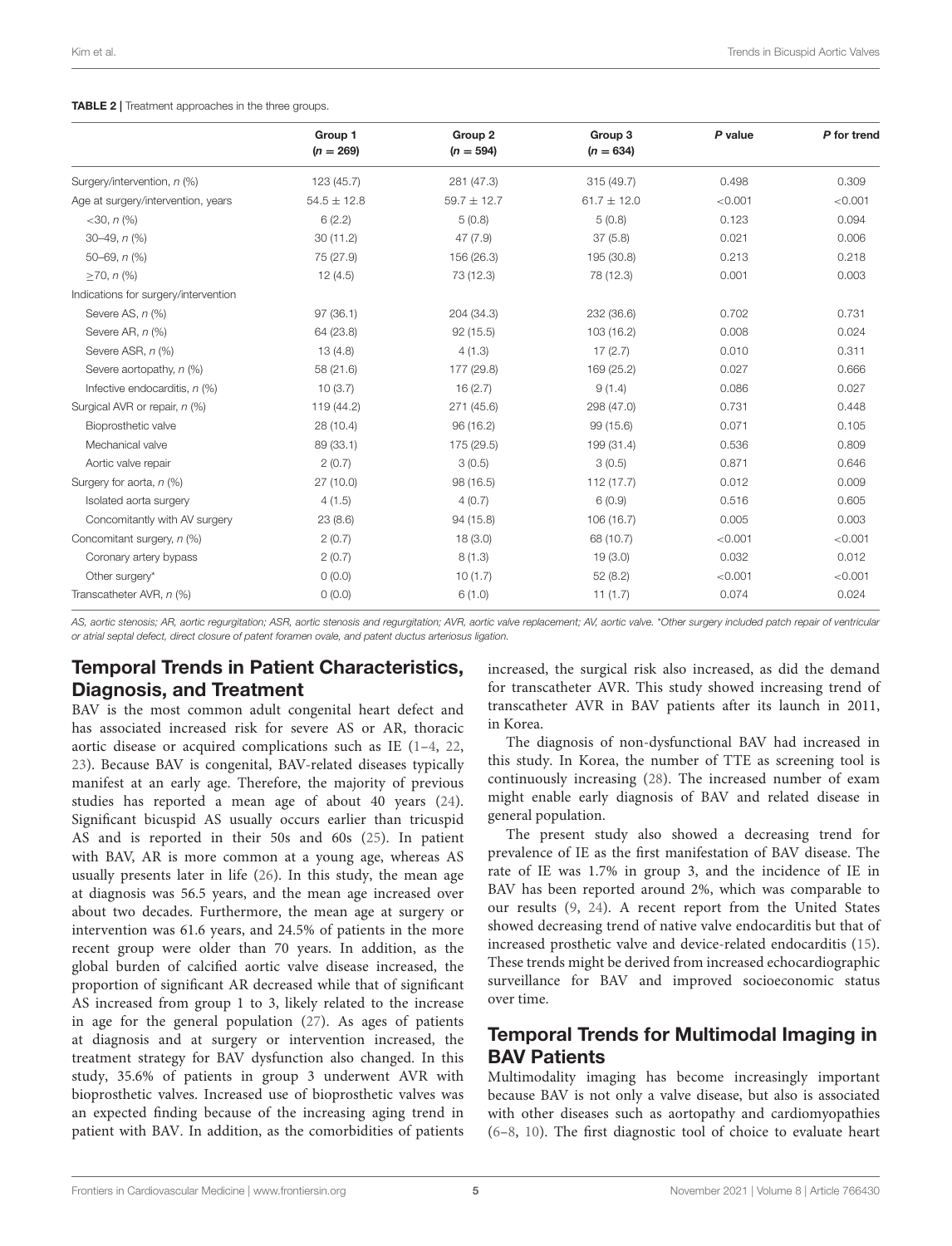#### <span id="page-4-0"></span>TABLE 2 | Treatment approaches in the three groups.

|                                      | Group 1<br>$(n = 269)$ | Group <sub>2</sub><br>$(n = 594)$ | Group 3<br>$(n = 634)$ | P value | P for trend |
|--------------------------------------|------------------------|-----------------------------------|------------------------|---------|-------------|
|                                      |                        |                                   |                        |         |             |
| Surgery/intervention, n (%)          | 123(45.7)              | 281 (47.3)                        | 315 (49.7)             | 0.498   | 0.309       |
| Age at surgery/intervention, years   | $54.5 \pm 12.8$        | $59.7 \pm 12.7$                   | $61.7 \pm 12.0$        | < 0.001 | < 0.001     |
| $<$ 30, n $\left(\frac{9}{6}\right)$ | 6(2.2)                 | 5(0.8)                            | 5(0.8)                 | 0.123   | 0.094       |
| $30 - 49$ , $n$ (%)                  | 30(11.2)               | 47 (7.9)                          | 37(5.8)                | 0.021   | 0.006       |
| $50 - 69$ , $n$ (%)                  | 75 (27.9)              | 156 (26.3)                        | 195 (30.8)             | 0.213   | 0.218       |
| $>70, n$ (%)                         | 12(4.5)                | 73 (12.3)                         | 78 (12.3)              | 0.001   | 0.003       |
| Indications for surgery/intervention |                        |                                   |                        |         |             |
| Severe AS, n (%)                     | 97(36.1)               | 204 (34.3)                        | 232 (36.6)             | 0.702   | 0.731       |
| Severe AR, n (%)                     | 64 (23.8)              | 92(15.5)                          | 103 (16.2)             | 0.008   | 0.024       |
| Severe ASR, n (%)                    | 13(4.8)                | 4(1.3)                            | 17(2.7)                | 0.010   | 0.311       |
| Severe aortopathy, n (%)             | 58 (21.6)              | 177 (29.8)                        | 169 (25.2)             | 0.027   | 0.666       |
| Infective endocarditis, $n$ (%)      | 10(3.7)                | 16(2.7)                           | 9(1.4)                 | 0.086   | 0.027       |
| Surgical AVR or repair, n (%)        | 119 (44.2)             | 271 (45.6)                        | 298 (47.0)             | 0.731   | 0.448       |
| Bioprosthetic valve                  | 28(10.4)               | 96 (16.2)                         | 99 (15.6)              | 0.071   | 0.105       |
| Mechanical valve                     | 89 (33.1)              | 175 (29.5)                        | 199 (31.4)             | 0.536   | 0.809       |
| Aortic valve repair                  | 2(0.7)                 | 3(0.5)                            | 3(0.5)                 | 0.871   | 0.646       |
| Surgery for aorta, n (%)             | 27(10.0)               | 98 (16.5)                         | 112(17.7)              | 0.012   | 0.009       |
| Isolated aorta surgery               | 4(1.5)                 | 4(0.7)                            | 6(0.9)                 | 0.516   | 0.605       |
| Concomitantly with AV surgery        | 23(8.6)                | 94 (15.8)                         | 106 (16.7)             | 0.005   | 0.003       |
| Concomitant surgery, n (%)           | 2(0.7)                 | 18(3.0)                           | 68 (10.7)              | < 0.001 | < 0.001     |
| Coronary artery bypass               | 2(0.7)                 | 8(1.3)                            | 19(3.0)                | 0.032   | 0.012       |
| Other surgery*                       | 0(0.0)                 | 10(1.7)                           | 52(8.2)                | < 0.001 | < 0.001     |
| Transcatheter AVR, n (%)             | 0(0.0)                 | 6(1.0)                            | 11(1.7)                | 0.074   | 0.024       |
|                                      |                        |                                   |                        |         |             |

*AS, aortic stenosis; AR, aortic regurgitation; ASR, aortic stenosis and regurgitation; AVR, aortic valve replacement; AV, aortic valve.* \**Other surgery included patch repair of ventricular or atrial septal defect, direct closure of patent foramen ovale, and patent ductus arteriosus ligation.*

# Temporal Trends in Patient Characteristics, Diagnosis, and Treatment

BAV is the most common adult congenital heart defect and has associated increased risk for severe AS or AR, thoracic aortic disease or acquired complications such as IE [\(1](#page-6-0)[–4,](#page-6-2) [22,](#page-7-4) [23\)](#page-7-5). Because BAV is congenital, BAV-related diseases typically manifest at an early age. Therefore, the majority of previous studies has reported a mean age of about 40 years [\(24\)](#page-7-6). Significant bicuspid AS usually occurs earlier than tricuspid AS and is reported in their 50s and 60s [\(25\)](#page-7-7). In patient with BAV, AR is more common at a young age, whereas AS usually presents later in life [\(26\)](#page-7-8). In this study, the mean age at diagnosis was 56.5 years, and the mean age increased over about two decades. Furthermore, the mean age at surgery or intervention was 61.6 years, and 24.5% of patients in the more recent group were older than 70 years. In addition, as the global burden of calcified aortic valve disease increased, the proportion of significant AR decreased while that of significant AS increased from group 1 to 3, likely related to the increase in age for the general population [\(27\)](#page-7-9). As ages of patients at diagnosis and at surgery or intervention increased, the treatment strategy for BAV dysfunction also changed. In this study, 35.6% of patients in group 3 underwent AVR with bioprosthetic valves. Increased use of bioprosthetic valves was an expected finding because of the increasing aging trend in patient with BAV. In addition, as the comorbidities of patients increased, the surgical risk also increased, as did the demand for transcatheter AVR. This study showed increasing trend of transcatheter AVR in BAV patients after its launch in 2011, in Korea.

The diagnosis of non-dysfunctional BAV had increased in this study. In Korea, the number of TTE as screening tool is continuously increasing [\(28\)](#page-7-10). The increased number of exam might enable early diagnosis of BAV and related disease in general population.

The present study also showed a decreasing trend for prevalence of IE as the first manifestation of BAV disease. The rate of IE was 1.7% in group 3, and the incidence of IE in BAV has been reported around 2%, which was comparable to our results [\(9,](#page-6-5) [24\)](#page-7-6). A recent report from the United States showed decreasing trend of native valve endocarditis but that of increased prosthetic valve and device-related endocarditis [\(15\)](#page-6-10). These trends might be derived from increased echocardiographic surveillance for BAV and improved socioeconomic status over time.

# Temporal Trends for Multimodal Imaging in BAV Patients

Multimodality imaging has become increasingly important because BAV is not only a valve disease, but also is associated with other diseases such as aortopathy and cardiomyopathies [\(6–](#page-6-3)[8,](#page-6-14) [10\)](#page-6-6). The first diagnostic tool of choice to evaluate heart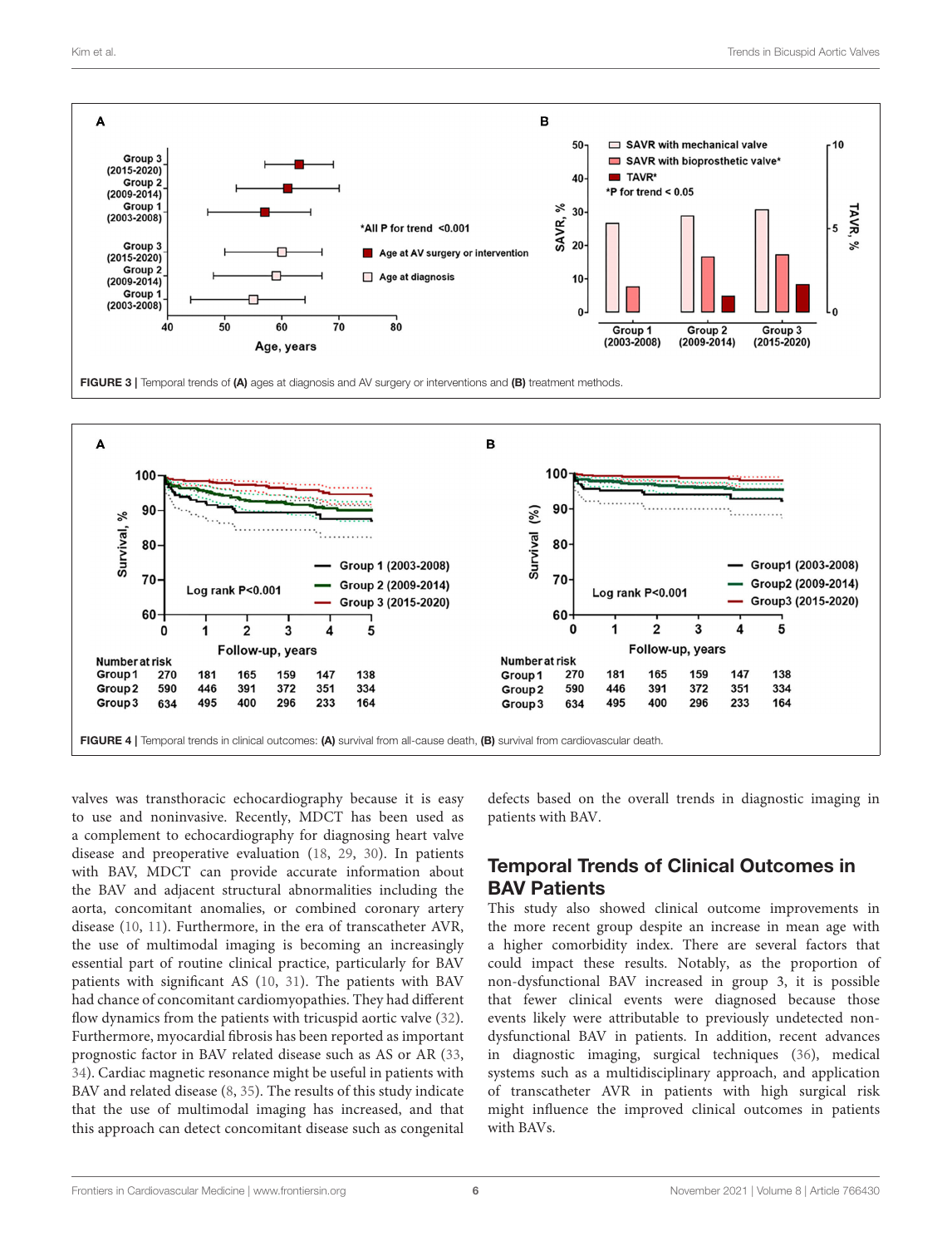

<span id="page-5-0"></span>

<span id="page-5-1"></span>valves was transthoracic echocardiography because it is easy to use and noninvasive. Recently, MDCT has been used as a complement to echocardiography for diagnosing heart valve disease and preoperative evaluation [\(18,](#page-7-0) [29,](#page-7-11) [30\)](#page-7-12). In patients with BAV, MDCT can provide accurate information about the BAV and adjacent structural abnormalities including the aorta, concomitant anomalies, or combined coronary artery disease [\(10,](#page-6-6) [11\)](#page-6-7). Furthermore, in the era of transcatheter AVR, the use of multimodal imaging is becoming an increasingly essential part of routine clinical practice, particularly for BAV patients with significant AS [\(10,](#page-6-6) [31\)](#page-7-13). The patients with BAV had chance of concomitant cardiomyopathies. They had different flow dynamics from the patients with tricuspid aortic valve [\(32\)](#page-7-14). Furthermore, myocardial fibrosis has been reported as important prognostic factor in BAV related disease such as AS or AR [\(33,](#page-7-15) [34\)](#page-7-16). Cardiac magnetic resonance might be useful in patients with BAV and related disease [\(8,](#page-6-14) [35\)](#page-7-17). The results of this study indicate that the use of multimodal imaging has increased, and that this approach can detect concomitant disease such as congenital

defects based on the overall trends in diagnostic imaging in patients with BAV.

# Temporal Trends of Clinical Outcomes in BAV Patients

This study also showed clinical outcome improvements in the more recent group despite an increase in mean age with a higher comorbidity index. There are several factors that could impact these results. Notably, as the proportion of non-dysfunctional BAV increased in group 3, it is possible that fewer clinical events were diagnosed because those events likely were attributable to previously undetected nondysfunctional BAV in patients. In addition, recent advances in diagnostic imaging, surgical techniques [\(36\)](#page-7-18), medical systems such as a multidisciplinary approach, and application of transcatheter AVR in patients with high surgical risk might influence the improved clinical outcomes in patients with BAVs.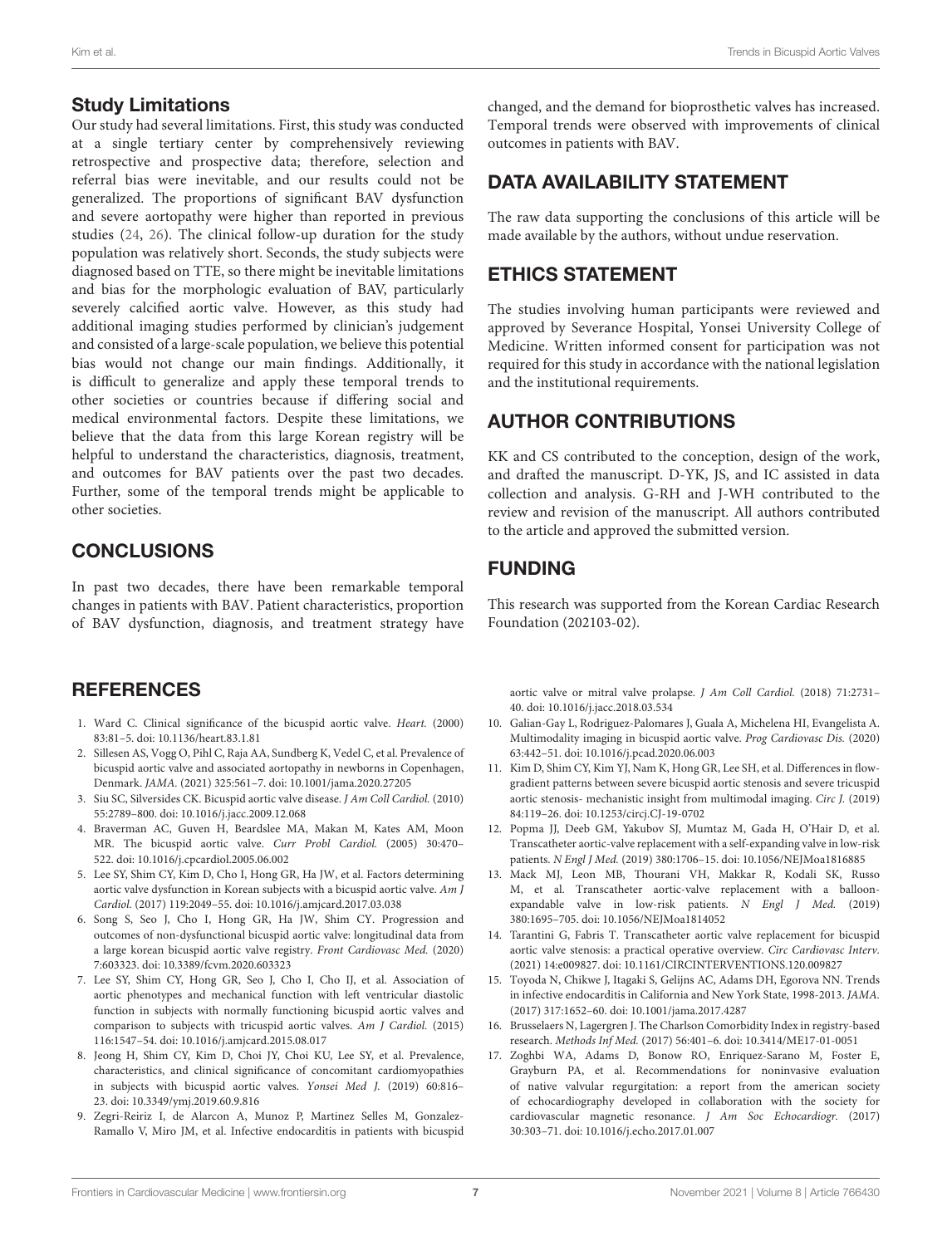#### Study Limitations

Our study had several limitations. First, this study was conducted at a single tertiary center by comprehensively reviewing retrospective and prospective data; therefore, selection and referral bias were inevitable, and our results could not be generalized. The proportions of significant BAV dysfunction and severe aortopathy were higher than reported in previous studies [\(24,](#page-7-6) [26\)](#page-7-8). The clinical follow-up duration for the study population was relatively short. Seconds, the study subjects were diagnosed based on TTE, so there might be inevitable limitations and bias for the morphologic evaluation of BAV, particularly severely calcified aortic valve. However, as this study had additional imaging studies performed by clinician's judgement and consisted of a large-scale population, we believe this potential bias would not change our main findings. Additionally, it is difficult to generalize and apply these temporal trends to other societies or countries because if differing social and medical environmental factors. Despite these limitations, we believe that the data from this large Korean registry will be helpful to understand the characteristics, diagnosis, treatment, and outcomes for BAV patients over the past two decades. Further, some of the temporal trends might be applicable to other societies.

# **CONCLUSIONS**

In past two decades, there have been remarkable temporal changes in patients with BAV. Patient characteristics, proportion of BAV dysfunction, diagnosis, and treatment strategy have

### **REFERENCES**

- <span id="page-6-0"></span>1. Ward C. Clinical significance of the bicuspid aortic valve. Heart. (2000) 83:81–5. doi: [10.1136/heart.83.1.81](https://doi.org/10.1136/heart.83.1.81)
- 2. Sillesen AS, Vogg O, Pihl C, Raja AA, Sundberg K, Vedel C, et al. Prevalence of bicuspid aortic valve and associated aortopathy in newborns in Copenhagen, Denmark. JAMA. (2021) 325:561–7. doi: [10.1001/jama.2020.27205](https://doi.org/10.1001/jama.2020.27205)
- <span id="page-6-1"></span>3. Siu SC, Silversides CK. Bicuspid aortic valve disease. J Am Coll Cardiol. (2010) 55:2789–800. doi: [10.1016/j.jacc.2009.12.068](https://doi.org/10.1016/j.jacc.2009.12.068)
- <span id="page-6-2"></span>4. Braverman AC, Guven H, Beardslee MA, Makan M, Kates AM, Moon MR. The bicuspid aortic valve. Curr Probl Cardiol. (2005) 30:470– 522. doi: [10.1016/j.cpcardiol.2005.06.002](https://doi.org/10.1016/j.cpcardiol.2005.06.002)
- <span id="page-6-13"></span>5. Lee SY, Shim CY, Kim D, Cho I, Hong GR, Ha JW, et al. Factors determining aortic valve dysfunction in Korean subjects with a bicuspid aortic valve. Am J Cardiol. (2017) 119:2049–55. doi: [10.1016/j.amjcard.2017.03.038](https://doi.org/10.1016/j.amjcard.2017.03.038)
- <span id="page-6-3"></span>6. Song S, Seo J, Cho I, Hong GR, Ha JW, Shim CY. Progression and outcomes of non-dysfunctional bicuspid aortic valve: longitudinal data from a large korean bicuspid aortic valve registry. Front Cardiovasc Med. (2020) 7:603323. doi: [10.3389/fcvm.2020.603323](https://doi.org/10.3389/fcvm.2020.603323)
- <span id="page-6-4"></span>7. Lee SY, Shim CY, Hong GR, Seo J, Cho I, Cho IJ, et al. Association of aortic phenotypes and mechanical function with left ventricular diastolic function in subjects with normally functioning bicuspid aortic valves and comparison to subjects with tricuspid aortic valves. Am J Cardiol. (2015) 116:1547–54. doi: [10.1016/j.amjcard.2015.08.017](https://doi.org/10.1016/j.amjcard.2015.08.017)
- <span id="page-6-14"></span>8. Jeong H, Shim CY, Kim D, Choi JY, Choi KU, Lee SY, et al. Prevalence, characteristics, and clinical significance of concomitant cardiomyopathies in subjects with bicuspid aortic valves. Yonsei Med J. (2019) 60:816– 23. doi: [10.3349/ymj.2019.60.9.816](https://doi.org/10.3349/ymj.2019.60.9.816)
- <span id="page-6-5"></span>9. Zegri-Reiriz I, de Alarcon A, Munoz P, Martinez Selles M, Gonzalez-Ramallo V, Miro JM, et al. Infective endocarditis in patients with bicuspid

changed, and the demand for bioprosthetic valves has increased. Temporal trends were observed with improvements of clinical outcomes in patients with BAV.

# DATA AVAILABILITY STATEMENT

The raw data supporting the conclusions of this article will be made available by the authors, without undue reservation.

### ETHICS STATEMENT

The studies involving human participants were reviewed and approved by Severance Hospital, Yonsei University College of Medicine. Written informed consent for participation was not required for this study in accordance with the national legislation and the institutional requirements.

# AUTHOR CONTRIBUTIONS

KK and CS contributed to the conception, design of the work, and drafted the manuscript. D-YK, JS, and IC assisted in data collection and analysis. G-RH and J-WH contributed to the review and revision of the manuscript. All authors contributed to the article and approved the submitted version.

## FUNDING

This research was supported from the Korean Cardiac Research Foundation (202103-02).

aortic valve or mitral valve prolapse. J Am Coll Cardiol. (2018) 71:2731– 40. doi: [10.1016/j.jacc.2018.03.534](https://doi.org/10.1016/j.jacc.2018.03.534)

- <span id="page-6-6"></span>10. Galian-Gay L, Rodriguez-Palomares J, Guala A, Michelena HI, Evangelista A. Multimodality imaging in bicuspid aortic valve. Prog Cardiovasc Dis. (2020) 63:442–51. doi: [10.1016/j.pcad.2020.06.003](https://doi.org/10.1016/j.pcad.2020.06.003)
- <span id="page-6-7"></span>11. Kim D, Shim CY, Kim YJ, Nam K, Hong GR, Lee SH, et al. Differences in flowgradient patterns between severe bicuspid aortic stenosis and severe tricuspid aortic stenosis- mechanistic insight from multimodal imaging. Circ J. (2019) 84:119–26. doi: [10.1253/circj.CJ-19-0702](https://doi.org/10.1253/circj.CJ-19-0702)
- <span id="page-6-8"></span>12. Popma JJ, Deeb GM, Yakubov SJ, Mumtaz M, Gada H, O'Hair D, et al. Transcatheter aortic-valve replacement with a self-expanding valve in low-risk patients. N Engl J Med. (2019) 380:1706–15. doi: [10.1056/NEJMoa1816885](https://doi.org/10.1056/NEJMoa1816885)
- 13. Mack MJ, Leon MB, Thourani VH, Makkar R, Kodali SK, Russo M, et al. Transcatheter aortic-valve replacement with a balloonexpandable valve in low-risk patients. N Engl J Med. (2019) 380:1695–705. doi: [10.1056/NEJMoa1814052](https://doi.org/10.1056/NEJMoa1814052)
- <span id="page-6-9"></span>14. Tarantini G, Fabris T. Transcatheter aortic valve replacement for bicuspid aortic valve stenosis: a practical operative overview. Circ Cardiovasc Interv. (2021) 14:e009827. doi: [10.1161/CIRCINTERVENTIONS.120.009827](https://doi.org/10.1161/CIRCINTERVENTIONS.120.009827)
- <span id="page-6-10"></span>15. Toyoda N, Chikwe J, Itagaki S, Gelijns AC, Adams DH, Egorova NN. Trends in infective endocarditis in California and New York State, 1998-2013. JAMA. (2017) 317:1652–60. doi: [10.1001/jama.2017.4287](https://doi.org/10.1001/jama.2017.4287)
- <span id="page-6-11"></span>16. Brusselaers N, Lagergren J. The Charlson Comorbidity Index in registry-based research. Methods Inf Med. (2017) 56:401–6. doi: [10.3414/ME17-01-0051](https://doi.org/10.3414/ME17-01-0051)
- <span id="page-6-12"></span>17. Zoghbi WA, Adams D, Bonow RO, Enriquez-Sarano M, Foster E, Grayburn PA, et al. Recommendations for noninvasive evaluation of native valvular regurgitation: a report from the american society of echocardiography developed in collaboration with the society for cardiovascular magnetic resonance. J Am Soc Echocardiogr. (2017) 30:303–71. doi: [10.1016/j.echo.2017.01.007](https://doi.org/10.1016/j.echo.2017.01.007)